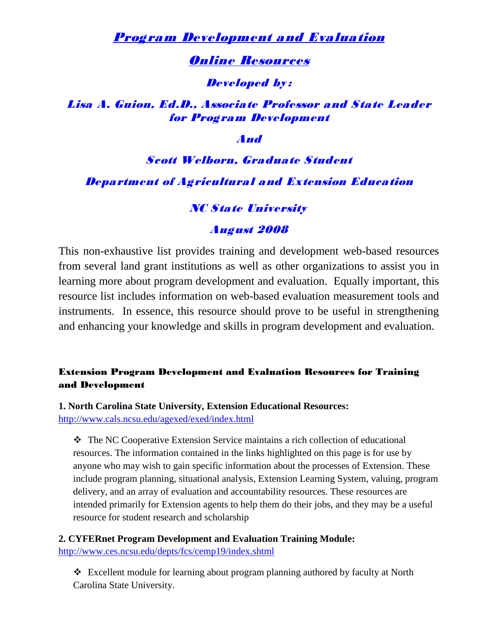# Program Development and Evaluation

## Online Resources

**Developed by:** 

# Lisa A. Guion, Ed.D., Associate Professor and State Leader for Program Development

And

# Scott Welborn, Graduate Student Department of Agricultural and Extension Education

# **NC State University**

## August 2008

This non-exhaustive list provides training and development web-based resources from several land grant institutions as well as other organizations to assist you in learning more about program development and evaluation. Equally important, this resource list includes information on web-based evaluation measurement tools and instruments. In essence, this resource should prove to be useful in strengthening and enhancing your knowledge and skills in program development and evaluation.

## Extension Program Development and Evaluation Resources for Training and Development

**1. North Carolina State University, Extension Educational Resources:**  http://www.cals.ncsu.edu/agexed/exed/index.html

 The NC Cooperative Extension Service maintains a rich collection of educational resources. The information contained in the links highlighted on this page is for use by anyone who may wish to gain specific information about the processes of Extension. These include program planning, situational analysis, Extension Learning System, valuing, program delivery, and an array of evaluation and accountability resources. These resources are intended primarily for Extension agents to help them do their jobs, and they may be a useful resource for student research and scholarship

**2. CYFERnet Program Development and Evaluation Training Module:**  <http://www.ces.ncsu.edu/depts/fcs/cemp19/index.shtml>

 Excellent module for learning about program planning authored by faculty at North Carolina State University.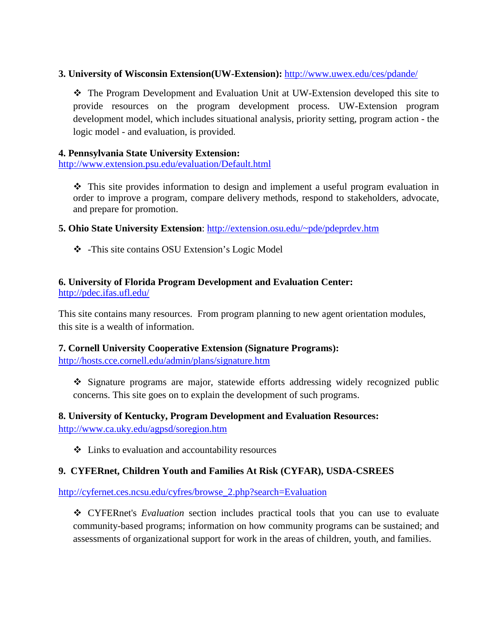## **3. University of Wisconsin Extension(UW-Extension):** <http://www.uwex.edu/ces/pdande/>

 The Program Development and Evaluation Unit at UW-Extension developed this site to provide resources on the program development process. UW-Extension program development model, which includes situational analysis, priority setting, program action - the logic model - and evaluation, is provided.

## **4. Pennsylvania State University Extension:**

<http://www.extension.psu.edu/evaluation/Default.html>

 $\hat{\mathbf{v}}$  This site provides information to design and implement a useful program evaluation in order to improve a program, compare delivery methods, respond to stakeholders, advocate, and prepare for promotion.

**5. Ohio State University Extension**: <http://extension.osu.edu/~pde/pdeprdev.htm>

-This site contains OSU Extension's Logic Model

#### **6. University of Florida Program Development and Evaluation Center:** <http://pdec.ifas.ufl.edu/>

This site contains many resources. From program planning to new agent orientation modules, this site is a wealth of information.

## **7. Cornell University Cooperative Extension (Signature Programs):**

<http://hosts.cce.cornell.edu/admin/plans/signature.htm>

 Signature programs are major, statewide efforts addressing widely recognized public concerns. This site goes on to explain the development of such programs.

## **8. University of Kentucky, Program Development and Evaluation Resources:**  <http://www.ca.uky.edu/agpsd/soregion.htm>

Links to evaluation and accountability resources

## **9. CYFERnet, Children Youth and Families At Risk (CYFAR), USDA-CSREES**

[http://cyfernet.ces.ncsu.edu/cyfres/browse\\_2.php?search=Evaluation](http://cyfernet.ces.ncsu.edu/cyfres/browse_2.php?search=Evaluation)

 CYFERnet's *Evaluation* section includes practical tools that you can use to evaluate community-based programs; information on how community programs can be sustained; and assessments of organizational support for work in the areas of children, youth, and families.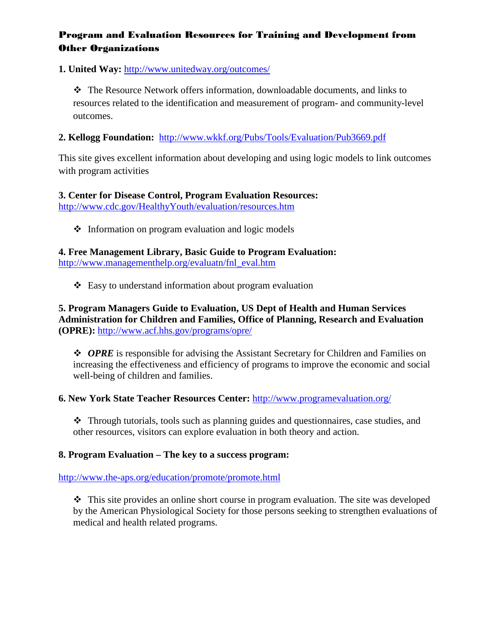## Program and Evaluation Resources for Training and Development from Other Organizations

**1. United Way:** <http://www.unitedway.org/outcomes/>

\* The Resource Network offers information, downloadable documents, and links to resources related to the identification and measurement of program- and community-level outcomes.

## **2. Kellogg Foundation:** <http://www.wkkf.org/Pubs/Tools/Evaluation/Pub3669.pdf>

This site gives excellent information about developing and using logic models to link outcomes with program activities

## **3. Center for Disease Control, Program Evaluation Resources:**  <http://www.cdc.gov/HealthyYouth/evaluation/resources.htm>

 $\triangle$  Information on program evaluation and logic models

**4. Free Management Library, Basic Guide to Program Evaluation:**  [http://www.managementhelp.org/evaluatn/fnl\\_eval.htm](http://www.managementhelp.org/evaluatn/fnl_eval.htm)

 $\triangle$  Easy to understand information about program evaluation

**5. Program Managers Guide to Evaluation, US Dept of Health and Human Services Administration for Children and Families, Office of Planning, Research and Evaluation (OPRE):** <http://www.acf.hhs.gov/programs/opre/>

◆ *OPRE* is responsible for advising the Assistant Secretary for Children and Families on increasing the effectiveness and efficiency of programs to improve the economic and social well-being of children and families.

## **6. New York State Teacher Resources Center:** <http://www.programevaluation.org/>

 Through tutorials, tools such as planning guides and questionnaires, case studies, and other resources, visitors can explore evaluation in both theory and action.

## **8. Program Evaluation – The key to a success program:**

<http://www.the-aps.org/education/promote/promote.html>

 $\cdot \cdot$  This site provides an online short course in program evaluation. The site was developed by the American Physiological Society for those persons seeking to strengthen evaluations of medical and health related programs.